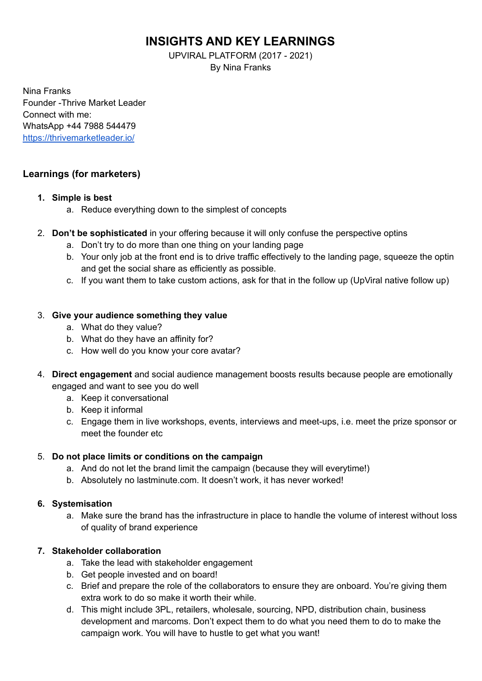# **INSIGHTS AND KEY LEARNINGS**

UPVIRAL PLATFORM (2017 - 2021) By Nina Franks

Nina Franks Founder -Thrive Market Leader Connect with me: WhatsApp +44 7988 544479 <https://thrivemarketleader.io/>

## **Learnings (for marketers)**

#### **1. Simple is best**

- a. Reduce everything down to the simplest of concepts
- 2. **Don't be sophisticated** in your offering because it will only confuse the perspective optins
	- a. Don't try to do more than one thing on your landing page
	- b. Your only job at the front end is to drive traffic effectively to the landing page, squeeze the optin and get the social share as efficiently as possible.
	- c. If you want them to take custom actions, ask for that in the follow up (UpViral native follow up)

### 3. **Give your audience something they value**

- a. What do they value?
- b. What do they have an affinity for?
- c. How well do you know your core avatar?
- 4. **Direct engagement** and social audience management boosts results because people are emotionally engaged and want to see you do well
	- a. Keep it conversational
	- b. Keep it informal
	- c. Engage them in live workshops, events, interviews and meet-ups, i.e. meet the prize sponsor or meet the founder etc

## 5. **Do not place limits or conditions on the campaign**

- a. And do not let the brand limit the campaign (because they will everytime!)
- b. Absolutely no lastminute.com. It doesn't work, it has never worked!

#### **6. Systemisation**

a. Make sure the brand has the infrastructure in place to handle the volume of interest without loss of quality of brand experience

## **7. Stakeholder collaboration**

- a. Take the lead with stakeholder engagement
- b. Get people invested and on board!
- c. Brief and prepare the role of the collaborators to ensure they are onboard. You're giving them extra work to do so make it worth their while.
- d. This might include 3PL, retailers, wholesale, sourcing, NPD, distribution chain, business development and marcoms. Don't expect them to do what you need them to do to make the campaign work. You will have to hustle to get what you want!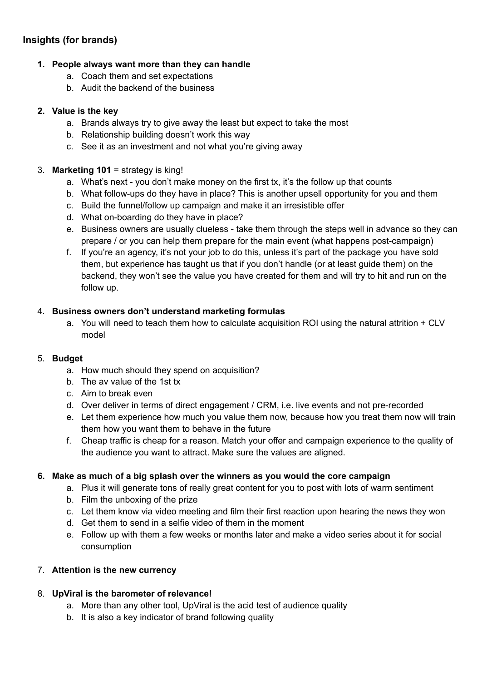## **Insights (for brands)**

## **1. People always want more than they can handle**

- a. Coach them and set expectations
- b. Audit the backend of the business

#### **2. Value is the key**

- a. Brands always try to give away the least but expect to take the most
- b. Relationship building doesn't work this way
- c. See it as an investment and not what you're giving away

#### 3. **Marketing 101** = strategy is king!

- a. What's next you don't make money on the first tx, it's the follow up that counts
- b. What follow-ups do they have in place? This is another upsell opportunity for you and them
- c. Build the funnel/follow up campaign and make it an irresistible offer
- d. What on-boarding do they have in place?
- e. Business owners are usually clueless take them through the steps well in advance so they can prepare / or you can help them prepare for the main event (what happens post-campaign)
- f. If you're an agency, it's not your job to do this, unless it's part of the package you have sold them, but experience has taught us that if you don't handle (or at least guide them) on the backend, they won't see the value you have created for them and will try to hit and run on the follow up.

### 4. **Business owners don't understand marketing formulas**

a. You will need to teach them how to calculate acquisition ROI using the natural attrition + CLV model

#### 5. **Budget**

- a. How much should they spend on acquisition?
- b. The av value of the 1st tx
- c. Aim to break even
- d. Over deliver in terms of direct engagement / CRM, i.e. live events and not pre-recorded
- e. Let them experience how much you value them now, because how you treat them now will train them how you want them to behave in the future
- f. Cheap traffic is cheap for a reason. Match your offer and campaign experience to the quality of the audience you want to attract. Make sure the values are aligned.

#### **6. Make as much of a big splash over the winners as you would the core campaign**

- a. Plus it will generate tons of really great content for you to post with lots of warm sentiment
- b. Film the unboxing of the prize
- c. Let them know via video meeting and film their first reaction upon hearing the news they won
- d. Get them to send in a selfie video of them in the moment
- e. Follow up with them a few weeks or months later and make a video series about it for social consumption

## 7. **Attention is the new currency**

## 8. **UpViral is the barometer of relevance!**

- a. More than any other tool, UpViral is the acid test of audience quality
- b. It is also a key indicator of brand following quality